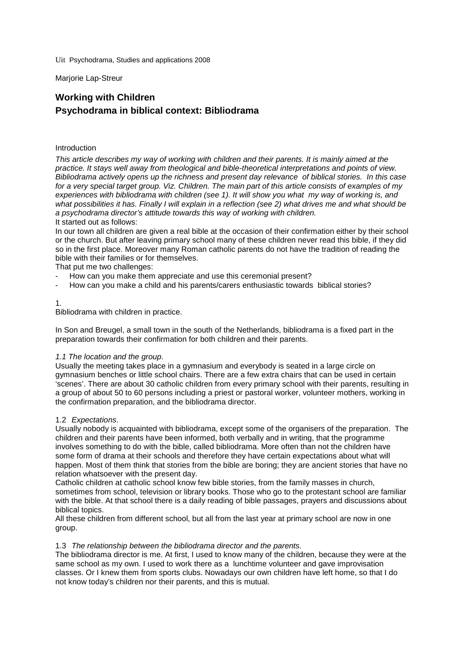Uit Psychodrama, Studies and applications 2008

Marjorie Lap-Streur

# **Working with Children Psychodrama in biblical context: Bibliodrama**

# Introduction

*This article describes my way of working with children and their parents. It is mainly aimed at the practice. It stays well away from theological and bible-theoretical interpretations and points of view. Bibliodrama actively opens up the richness and present day relevance of biblical stories. In this case for a very special target group. Viz. Children. The main part of this article consists of examples of my experiences with bibliodrama with children (see 1). It will show you what my way of working is, and what possibilities it has. Finally I will explain in a reflection (see 2) what drives me and what should be a psychodrama director's attitude towards this way of working with children.* It started out as follows:

In our town all children are given a real bible at the occasion of their confirmation either by their school or the church. But after leaving primary school many of these children never read this bible, if they did so in the first place. Moreover many Roman catholic parents do not have the tradition of reading the bible with their families or for themselves.

That put me two challenges:

- How can you make them appreciate and use this ceremonial present?
- How can you make a child and his parents/carers enthusiastic towards biblical stories?

# 1.

Bibliodrama with children in practice.

In Son and Breugel, a small town in the south of the Netherlands, bibliodrama is a fixed part in the preparation towards their confirmation for both children and their parents.

## *1.1 The location and the group*.

Usually the meeting takes place in a gymnasium and everybody is seated in a large circle on gymnasium benches or little school chairs. There are a few extra chairs that can be used in certain 'scenes'. There are about 30 catholic children from every primary school with their parents, resulting in a group of about 50 to 60 persons including a priest or pastoral worker, volunteer mothers, working in the confirmation preparation, and the bibliodrama director.

## 1.2 *Expectations*.

Usually nobody is acquainted with bibliodrama, except some of the organisers of the preparation. The children and their parents have been informed, both verbally and in writing, that the programme involves something to do with the bible, called bibliodrama. More often than not the children have some form of drama at their schools and therefore they have certain expectations about what will happen. Most of them think that stories from the bible are boring; they are ancient stories that have no relation whatsoever with the present day.

Catholic children at catholic school know few bible stories, from the family masses in church, sometimes from school, television or library books. Those who go to the protestant school are familiar with the bible. At that school there is a daily reading of bible passages, prayers and discussions about biblical topics.

All these children from different school, but all from the last year at primary school are now in one group.

## 1.3 *The relationship between the bibliodrama director and the parents.*

The bibliodrama director is me. At first, I used to know many of the children, because they were at the same school as my own. I used to work there as a lunchtime volunteer and gave improvisation classes. Or I knew them from sports clubs. Nowadays our own children have left home, so that I do not know today's children nor their parents, and this is mutual.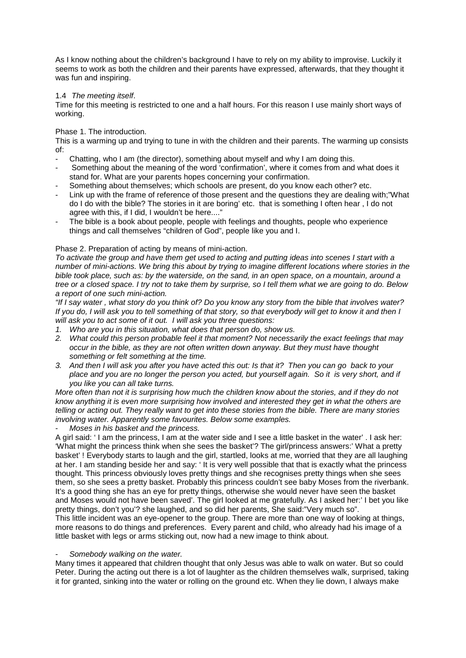As I know nothing about the children's background I have to rely on my ability to improvise. Luckily it seems to work as both the children and their parents have expressed, afterwards, that they thought it was fun and inspiring.

# 1.4 *The meeting itself*.

Time for this meeting is restricted to one and a half hours. For this reason I use mainly short ways of working.

Phase 1. The introduction.

This is a warming up and trying to tune in with the children and their parents. The warming up consists of:

- Chatting, who I am (the director), something about myself and why I am doing this.
- Something about the meaning of the word 'confirmation', where it comes from and what does it stand for. What are your parents hopes concerning your confirmation.
- Something about themselves; which schools are present, do you know each other? etc.
- Link up with the frame of reference of those present and the questions they are dealing with;"What do I do with the bible? The stories in it are boring' etc. that is something I often hear , I do not agree with this, if I did, I wouldn't be here...."
- The bible is a book about people, people with feelings and thoughts, people who experience things and call themselves "children of God", people like you and I.

## Phase 2. Preparation of acting by means of mini-action.

*To activate the group and have them get used to acting and putting ideas into scenes I start with a number of mini-actions. We bring this about by trying to imagine different locations where stories in the bible took place, such as: by the waterside, on the sand, in an open space, on a mountain, around a tree or a closed space. I try not to take them by surprise, so I tell them what we are going to do. Below a report of one such mini-action.*

*"If I say water , what story do you think of? Do you know any story from the bible that involves water? If you do, I will ask you to tell something of that story, so that everybody will get to know it and then I will ask you to act some of it out. I will ask you three questions:*

- *1. Who are you in this situation, what does that person do, show us.*
- *2. What could this person probable feel it that moment? Not necessarily the exact feelings that may occur in the bible, as they are not often written down anyway. But they must have thought something or felt something at the time.*
- *3. And then I will ask you after you have acted this out: Is that it? Then you can go back to your place and you are no longer the person you acted, but yourself again. So it is very short, and if you like you can all take turns.*

*More often than not it is surprising how much the children know about the stories, and if they do not know anything it is even more surprising how involved and interested they get in what the others are telling or acting out. They really want to get into these stories from the bible. There are many stories involving water. Apparently some favourites. Below some examples.*

- *Moses in his basket and the princess.*

A girl said: ' I am the princess, I am at the water side and I see a little basket in the water' . I ask her: 'What might the princess think when she sees the basket'? The girl/princess answers:' What a pretty basket' ! Everybody starts to laugh and the girl, startled, looks at me, worried that they are all laughing at her. I am standing beside her and say: ' It is very well possible that that is exactly what the princess thought. This princess obviously loves pretty things and she recognises pretty things when she sees them, so she sees a pretty basket. Probably this princess couldn't see baby Moses from the riverbank. It's a good thing she has an eye for pretty things, otherwise she would never have seen the basket and Moses would not have been saved'. The girl looked at me gratefully. As I asked her:' I bet you like pretty things, don't you'? she laughed, and so did her parents, She said:"Very much so". This little incident was an eye-opener to the group. There are more than one way of looking at things,

more reasons to do things and preferences. Every parent and child, who already had his image of a little basket with legs or arms sticking out, now had a new image to think about.

## - *Somebody walking on the water.*

Many times it appeared that children thought that only Jesus was able to walk on water. But so could Peter. During the acting out there is a lot of laughter as the children themselves walk, surprised, taking it for granted, sinking into the water or rolling on the ground etc. When they lie down, I always make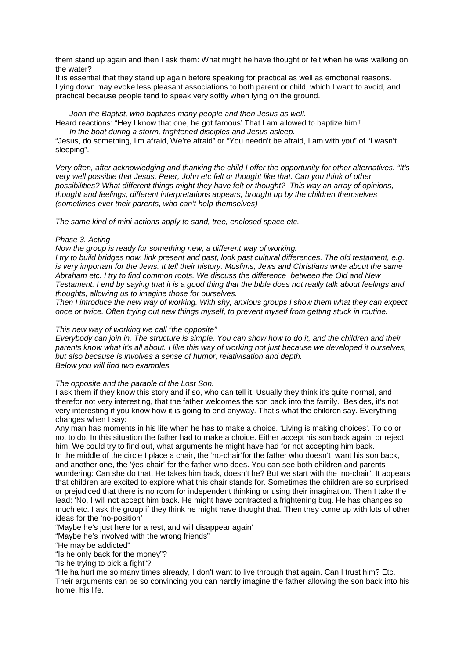them stand up again and then I ask them: What might he have thought or felt when he was walking on the water?

It is essential that they stand up again before speaking for practical as well as emotional reasons. Lying down may evoke less pleasant associations to both parent or child, which I want to avoid, and practical because people tend to speak very softly when lying on the ground.

- *John the Baptist, who baptizes many people and then Jesus as well.* Heard reactions: "Hey I know that one, he got famous' That I am allowed to baptize him'! - *In the boat during a storm, frightened disciples and Jesus asleep.*

"Jesus, do something, I'm afraid, We're afraid" or "You needn't be afraid, I am with you" of "I wasn't sleeping".

*Very often, after acknowledging and thanking the child I offer the opportunity for other alternatives. "It's very well possible that Jesus, Peter, John etc felt or thought like that. Can you think of other possibilities? What different things might they have felt or thought? This way an array of opinions, thought and feelings, different interpretations appears, brought up by the children themselves (sometimes ever their parents, who can't help themselves)*

*The same kind of mini-actions apply to sand, tree, enclosed space etc.*

#### *Phase 3. Acting*

*Now the group is ready for something new, a different way of working.* 

*I try to build bridges now, link present and past, look past cultural differences. The old testament, e.g. is very important for the Jews. It tell their history. Muslims, Jews and Christians write about the same Abraham etc. I try to find common roots. We discuss the difference between the Old and New Testament. I end by saying that it is a good thing that the bible does not really talk about feelings and thoughts, allowing us to imagine those for ourselves.*

*Then I introduce the new way of working. With shy, anxious groups I show them what they can expect once or twice. Often trying out new things myself, to prevent myself from getting stuck in routine.*

# *This new way of working we call "the opposite"*

*Everybody can join in. The structure is simple. You can show how to do it, and the children and their parents know what it's all about. I like this way of working not just because we developed it ourselves, but also because is involves a sense of humor, relativisation and depth. Below you will find two examples.*

#### *The opposite and the parable of the Lost Son.*

I ask them if they know this story and if so, who can tell it. Usually they think it's quite normal, and therefor not very interesting, that the father welcomes the son back into the family. Besides, it's not very interesting if you know how it is going to end anyway. That's what the children say. Everything changes when I say:

Any man has moments in his life when he has to make a choice. 'Living is making choices'. To do or not to do. In this situation the father had to make a choice. Either accept his son back again, or reject him. We could try to find out, what arguments he might have had for not accepting him back. In the middle of the circle I place a chair, the 'no-chair'for the father who doesn't want his son back, and another one, the 'ýes-chair' for the father who does. You can see both children and parents wondering: Can she do that, He takes him back, doesn't he? But we start with the 'no-chair'. It appears that children are excited to explore what this chair stands for. Sometimes the children are so surprised or prejudiced that there is no room for independent thinking or using their imagination. Then I take the

lead: 'No, I will not accept him back. He might have contracted a frightening bug. He has changes so much etc. I ask the group if they think he might have thought that. Then they come up with lots of other ideas for the 'no-position'

"Maybe he's just here for a rest, and will disappear again'

"Maybe he's involved with the wrong friends"

"He may be addicted"

"Is he only back for the money"?

"Is he trying to pick a fight"?

"He ha hurt me so many times already, I don't want to live through that again. Can I trust him? Etc. Their arguments can be so convincing you can hardly imagine the father allowing the son back into his home, his life.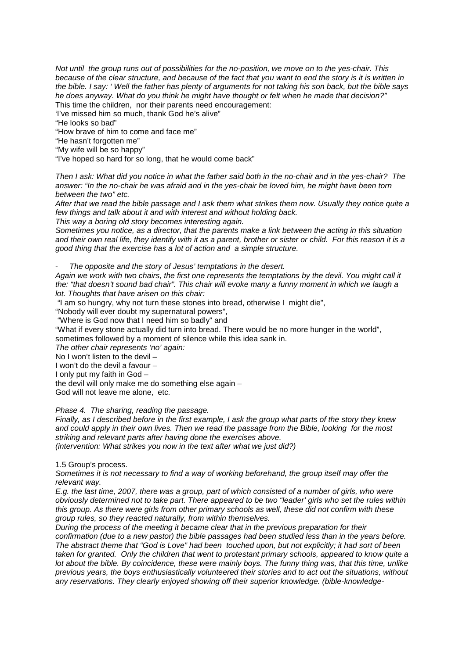*Not until the group runs out of possibilities for the no-position, we move on to the yes-chair. This because of the clear structure, and because of the fact that you want to end the story is it is written in the bible. I say: ' Well the father has plenty of arguments for not taking his son back, but the bible says he does anyway. What do you think he might have thought or felt when he made that decision?"* This time the children, nor their parents need encouragement:

'I've missed him so much, thank God he's alive"

"He looks so bad"

"How brave of him to come and face me"

"He hasn't forgotten me"

"My wife will be so happy"

"I've hoped so hard for so long, that he would come back"

*Then I ask: What did you notice in what the father said both in the no-chair and in the yes-chair? The answer: "In the no-chair he was afraid and in the yes-chair he loved him, he might have been torn between the two" etc.* 

*After that we read the bible passage and I ask them what strikes them now. Usually they notice quite a few things and talk about it and with interest and without holding back.*

*This way a boring old story becomes interesting again.*

*Sometimes you notice, as a director, that the parents make a link between the acting in this situation and their own real life, they identify with it as a parent, brother or sister or child. For this reason it is a good thing that the exercise has a lot of action and a simple structure.*

- *The opposite and the story of Jesus' temptations in the desert.* 

*Again we work with two chairs, the first one represents the temptations by the devil. You might call it the: "that doesn't sound bad chair". This chair will evoke many a funny moment in which we laugh a lot. Thoughts that have arisen on this chair:*

"I am so hungry, why not turn these stones into bread, otherwise I might die",

"Nobody will ever doubt my supernatural powers",

"Where is God now that I need him so badly" and

"What if every stone actually did turn into bread. There would be no more hunger in the world", sometimes followed by a moment of silence while this idea sank in.

*The other chair represents 'no' again:*

No I won't listen to the devil –

I won't do the devil a favour –

I only put my faith in God –

the devil will only make me do something else again –

God will not leave me alone, etc*.*

## *Phase 4. The sharing, reading the passage.*

*Finally, as I described before in the first example, I ask the group what parts of the story they knew and could apply in their own lives. Then we read the passage from the Bible, looking for the most striking and relevant parts after having done the exercises above. (intervention: What strikes you now in the text after what we just did?)*

#### 1.5 Group's process.

*Sometimes it is not necessary to find a way of working beforehand, the group itself may offer the relevant way.* 

*E.g. the last time, 2007, there was a group, part of which consisted of a number of girls, who were obviously determined not to take part. There appeared to be two "leader' girls who set the rules within this group. As there were girls from other primary schools as well, these did not confirm with these group rules, so they reacted naturally, from within themselves.*

*During the process of the meeting it became clear that in the previous preparation for their confirmation (due to a new pastor) the bible passages had been studied less than in the years before. The abstract theme that "God is Love" had been touched upon, but not explicitly; it had sort of been taken for granted. Only the children that went to protestant primary schools, appeared to know quite a lot about the bible. By coincidence, these were mainly boys. The funny thing was, that this time, unlike previous years, the boys enthusiastically volunteered their stories and to act out the situations, without any reservations. They clearly enjoyed showing off their superior knowledge. (bible-knowledge-*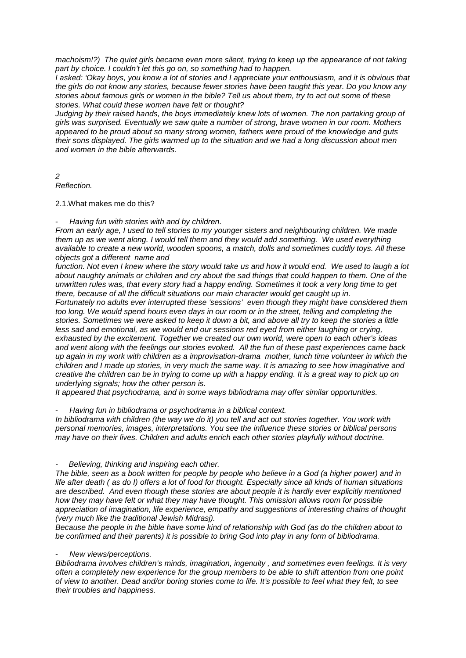*machoism!?) The quiet girls became even more silent, trying to keep up the appearance of not taking part by choice. I couldn't let this go on, so something had to happen.* 

*I asked: 'Okay boys, you know a lot of stories and I appreciate your enthousiasm, and it is obvious that the girls do not know any stories, because fewer stories have been taught this year. Do you know any stories about famous girls or women in the bible? Tell us about them, try to act out some of these stories. What could these women have felt or thought?* 

*Judging by their raised hands, the boys immediately knew lots of women. The non partaking group of girls was surprised. Eventually we saw quite a number of strong, brave women in our room. Mothers appeared to be proud about so many strong women, fathers were proud of the knowledge and guts their sons displayed. The girls warmed up to the situation and we had a long discussion about men and women in the bible afterwards.*

*2*

*Reflection.*

2.1.What makes me do this?

- *Having fun with stories with and by children.*

*From an early age, I used to tell stories to my younger sisters and neighbouring children. We made them up as we went along. I would tell them and they would add something. We used everything available to create a new world, wooden spoons, a match, dolls and sometimes cuddly toys. All these objects got a different name and* 

*function. Not even I knew where the story would take us and how it would end. We used to laugh a lot about naughty animals or children and cry about the sad things that could happen to them. One of the unwritten rules was, that every story had a happy ending. Sometimes it took a very long time to get there, because of all the difficult situations our main character would get caught up in.* 

*Fortunately no adults ever interrupted these 'sessions' even though they might have considered them too long. We would spend hours even days in our room or in the street, telling and completing the stories. Sometimes we were asked to keep it down a bit, and above all try to keep the stories a little less sad and emotional, as we would end our sessions red eyed from either laughing or crying, exhausted by the excitement. Together we created our own world, were open to each other's ideas and went along with the feelings our stories evoked. All the fun of these past experiences came back up again in my work with children as a improvisation-drama mother, lunch time volunteer in which the children and I made up stories, in very much the same way. It is amazing to see how imaginative and creative the children can be in trying to come up with a happy ending. It is a great way to pick up on underlying signals; how the other person is.* 

*It appeared that psychodrama, and in some ways bibliodrama may offer similar opportunities.*

- *Having fun in bibliodrama or psychodrama in a biblical context.*

*In bibliodrama with children (the way we do it) you tell and act out stories together. You work with personal memories, images, interpretations. You see the influence these stories or biblical persons may have on their lives. Children and adults enrich each other stories playfully without doctrine.*

## *- Believing, thinking and inspiring each other.*

*The bible, seen as a book written for people by people who believe in a God (a higher power) and in life after death ( as do I) offers a lot of food for thought. Especially since all kinds of human situations are described. And even though these stories are about people it is hardly ever explicitly mentioned how they may have felt or what they may have thought. This omission allows room for possible appreciation of imagination, life experience, empathy and suggestions of interesting chains of thought (very much like the traditional Jewish Midrasj).*

*Because the people in the bible have some kind of relationship with God (as do the children about to be confirmed and their parents) it is possible to bring God into play in any form of bibliodrama.*

- *New views/perceptions.*

*Bibliodrama involves children's minds, imagination, ingenuity , and sometimes even feelings. It is very often a completely new experience for the group members to be able to shift attention from one point of view to another. Dead and/or boring stories come to life. It's possible to feel what they felt, to see their troubles and happiness.*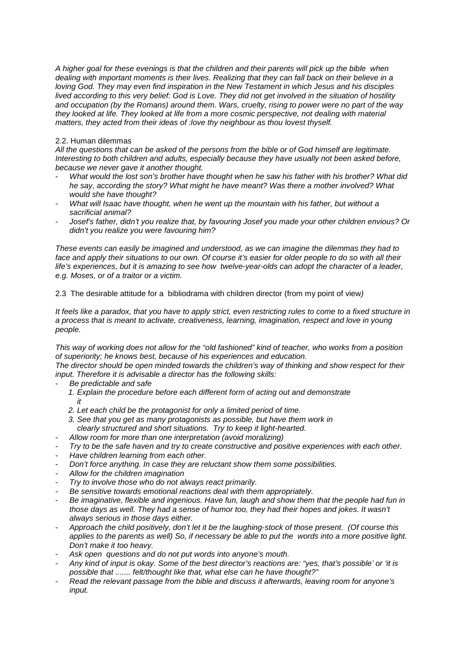*A higher goal for these evenings is that the children and their parents will pick up the bible when dealing with important moments is their lives. Realizing that they can fall back on their believe in a loving God. They may even find inspiration in the New Testament in which Jesus and his disciples lived according to this very belief: God is Love. They did not get involved in the situation of hostility and occupation (by the Romans) around them. Wars, cruelty, rising to power were no part of the way they looked at life. They looked at life from a more cosmic perspective, not dealing with material matters, they acted from their ideas of :love thy neighbour as thou lovest thyself.*

## 2.2. Human dilemmas

*All the questions that can be asked of the persons from the bible or of God himself are legitimate. Interesting to both children and adults, especially because they have usually not been asked before, because we never gave it another thought.* 

- *What would the lost son's brother have thought when he saw his father with his brother? What did he say, according the story? What might he have meant? Was there a mother involved? What would she have thought?*
- *What will Isaac have thought, when he went up the mountain with his father, but without a sacrificial animal?*
- *Josef's father, didn't you realize that, by favouring Josef you made your other children envious? Or didn't you realize you were favouring him?*

*These events can easily be imagined and understood, as we can imagine the dilemmas they had to*  face and apply their situations to our own. Of course it's easier for older people to do so with all their *life's experiences, but it is amazing to see how twelve-year-olds can adopt the character of a leader, e.g. Moses, or of a traitor or a victim.*

2.3 The desirable attitude for a bibliodrama with children director (from my point of view*)*

*It feels like a paradox, that you have to apply strict, even restricting rules to come to a fixed structure in a process that is meant to activate, creativeness, learning, imagination, respect and love in young people.* 

*This way of working does not allow for the "old fashioned" kind of teacher, who works from a position of superiority; he knows best, because of his experiences and education.*

*The director should be open minded towards the children's way of thinking and show respect for their input. Therefore it is advisable a director has the following skills:*

- *Be predictable and safe*
- *1. Explain the procedure before each different form of acting out and demonstrate it*
	- *2. Let each child be the protagonist for only a limited period of time.*
	- *3. See that you get as many protagonists as possible, but have them work in clearly structured and short situations. Try to keep it light-hearted.*
- *Allow room for more than one interpretation (avoid moralizing)*
- *Try to be the safe haven and try to create constructive and positive experiences with each other.*
- *Have children learning from each other.*
- *Don't force anything. In case they are reluctant show them some possibilities.*
- *Allow for the children imagination*
- *Try to involve those who do not always react primarily.*
- *Be sensitive towards emotional reactions deal with them appropriately.*
- *Be imaginative, flexible and ingenious. Have fun, laugh and show them that the people had fun in*  those days as well. They had a sense of humor too, they had their hopes and jokes. It wasn't *always serious in those days either.*
- *Approach the child positively, don't let it be the laughing-stock of those present. (Of course this applies to the parents as well) So, if necessary be able to put the words into a more positive light. Don't make it too heavy.*
- Ask open questions and do not put words into anyone's mouth.
- *Any kind of input is okay. Some of the best director's reactions are: "yes, that's possible' or 'it is possible that ....... felt/thought like that, what else can he have thought?"*
- *Read the relevant passage from the bible and discuss it afterwards, leaving room for anyone's input.*